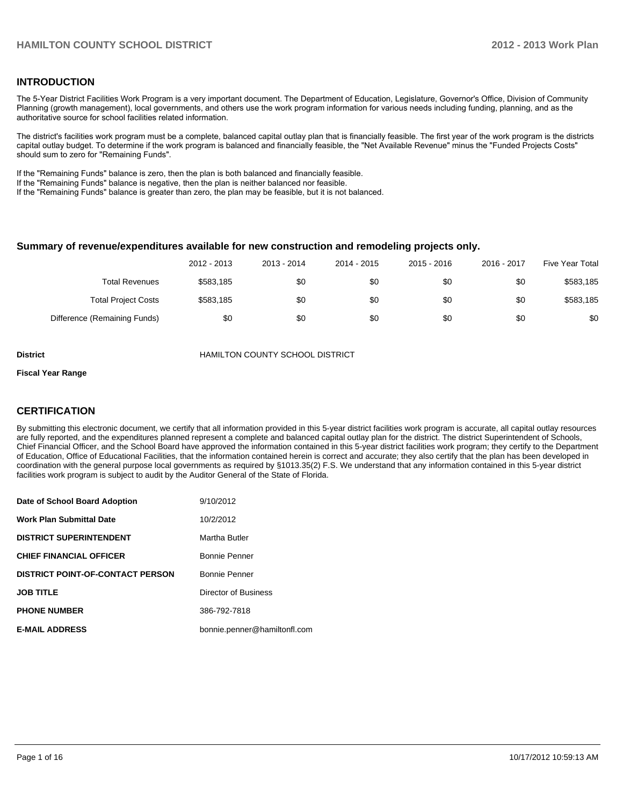#### **INTRODUCTION**

The 5-Year District Facilities Work Program is a very important document. The Department of Education, Legislature, Governor's Office, Division of Community Planning (growth management), local governments, and others use the work program information for various needs including funding, planning, and as the authoritative source for school facilities related information.

The district's facilities work program must be a complete, balanced capital outlay plan that is financially feasible. The first year of the work program is the districts capital outlay budget. To determine if the work program is balanced and financially feasible, the "Net Available Revenue" minus the "Funded Projects Costs" should sum to zero for "Remaining Funds".

If the "Remaining Funds" balance is zero, then the plan is both balanced and financially feasible.

If the "Remaining Funds" balance is negative, then the plan is neither balanced nor feasible.

If the "Remaining Funds" balance is greater than zero, the plan may be feasible, but it is not balanced.

#### **Summary of revenue/expenditures available for new construction and remodeling projects only.**

|                              | 2012 - 2013 | 2013 - 2014 | 2014 - 2015 | 2015 - 2016 | 2016 - 2017 | Five Year Total |
|------------------------------|-------------|-------------|-------------|-------------|-------------|-----------------|
| <b>Total Revenues</b>        | \$583.185   | \$0         | \$0         | \$0         | \$0         | \$583,185       |
| <b>Total Project Costs</b>   | \$583,185   | \$0         | \$0         | \$0         | \$0         | \$583,185       |
| Difference (Remaining Funds) | \$0         | \$0         | \$0         | \$0         | \$0         | \$0             |

**District** HAMILTON COUNTY SCHOOL DISTRICT

#### **Fiscal Year Range**

#### **CERTIFICATION**

By submitting this electronic document, we certify that all information provided in this 5-year district facilities work program is accurate, all capital outlay resources are fully reported, and the expenditures planned represent a complete and balanced capital outlay plan for the district. The district Superintendent of Schools, Chief Financial Officer, and the School Board have approved the information contained in this 5-year district facilities work program; they certify to the Department of Education, Office of Educational Facilities, that the information contained herein is correct and accurate; they also certify that the plan has been developed in coordination with the general purpose local governments as required by §1013.35(2) F.S. We understand that any information contained in this 5-year district facilities work program is subject to audit by the Auditor General of the State of Florida.

| Date of School Board Adoption           | 9/10/2012                    |
|-----------------------------------------|------------------------------|
| <b>Work Plan Submittal Date</b>         | 10/2/2012                    |
| <b>DISTRICT SUPERINTENDENT</b>          | Martha Butler                |
| <b>CHIEF FINANCIAL OFFICER</b>          | Bonnie Penner                |
| <b>DISTRICT POINT-OF-CONTACT PERSON</b> | <b>Bonnie Penner</b>         |
| <b>JOB TITLE</b>                        | Director of Business         |
| <b>PHONE NUMBER</b>                     | 386-792-7818                 |
| <b>E-MAIL ADDRESS</b>                   | bonnie.penner@hamiltonfl.com |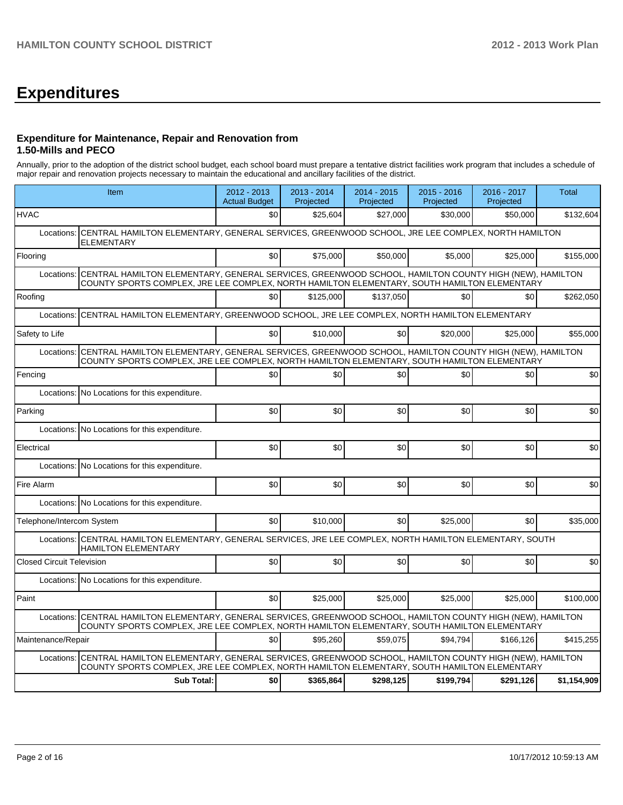# **Expenditures**

#### **Expenditure for Maintenance, Repair and Renovation from 1.50-Mills and PECO**

Annually, prior to the adoption of the district school budget, each school board must prepare a tentative district facilities work program that includes a schedule of major repair and renovation projects necessary to maintain the educational and ancillary facilities of the district.

|                                  | Item                                                                                                                                                                                                  | $2012 - 2013$<br><b>Actual Budget</b> | $2013 - 2014$<br>Projected | 2014 - 2015<br>Projected | $2015 - 2016$<br>Projected | 2016 - 2017<br>Projected | <b>Total</b> |  |  |  |
|----------------------------------|-------------------------------------------------------------------------------------------------------------------------------------------------------------------------------------------------------|---------------------------------------|----------------------------|--------------------------|----------------------------|--------------------------|--------------|--|--|--|
| <b>HVAC</b>                      |                                                                                                                                                                                                       | \$0                                   | \$25,604                   | \$27,000                 | \$30,000                   | \$50,000                 | \$132,604    |  |  |  |
| Locations:                       | CENTRAL HAMILTON ELEMENTARY, GENERAL SERVICES, GREENWOOD SCHOOL, JRE LEE COMPLEX, NORTH HAMILTON<br><b>ELEMENTARY</b>                                                                                 |                                       |                            |                          |                            |                          |              |  |  |  |
| Flooring                         |                                                                                                                                                                                                       | \$0                                   | \$75,000                   | \$50,000                 | \$5,000                    | \$25,000                 | \$155,000    |  |  |  |
| Locations:                       | CENTRAL HAMILTON ELEMENTARY, GENERAL SERVICES, GREENWOOD SCHOOL, HAMILTON COUNTY HIGH (NEW), HAMILTON<br>COUNTY SPORTS COMPLEX, JRE LEE COMPLEX, NORTH HAMILTON ELEMENTARY, SOUTH HAMILTON ELEMENTARY |                                       |                            |                          |                            |                          |              |  |  |  |
| Roofing                          |                                                                                                                                                                                                       | \$0                                   | \$125,000                  | \$137,050                | \$0                        | \$0                      | \$262,050    |  |  |  |
| Locations:                       | CENTRAL HAMILTON ELEMENTARY, GREENWOOD SCHOOL, JRE LEE COMPLEX, NORTH HAMILTON ELEMENTARY                                                                                                             |                                       |                            |                          |                            |                          |              |  |  |  |
| Safety to Life                   |                                                                                                                                                                                                       | \$0                                   | \$10,000                   | \$0                      | \$20,000                   | \$25,000                 | \$55,000     |  |  |  |
| Locations:                       | CENTRAL HAMILTON ELEMENTARY, GENERAL SERVICES, GREENWOOD SCHOOL, HAMILTON COUNTY HIGH (NEW), HAMILTON<br>COUNTY SPORTS COMPLEX, JRE LEE COMPLEX, NORTH HAMILTON ELEMENTARY, SOUTH HAMILTON ELEMENTARY |                                       |                            |                          |                            |                          |              |  |  |  |
| Fencing                          |                                                                                                                                                                                                       | \$0                                   | \$0                        | \$0                      | \$0                        | \$0                      | \$0          |  |  |  |
| Locations:                       | No Locations for this expenditure.                                                                                                                                                                    |                                       |                            |                          |                            |                          |              |  |  |  |
| Parking                          |                                                                                                                                                                                                       | \$0                                   | \$0                        | \$0                      | \$0                        | \$0                      | \$0          |  |  |  |
|                                  | Locations: No Locations for this expenditure.                                                                                                                                                         |                                       |                            |                          |                            |                          |              |  |  |  |
| Electrical                       |                                                                                                                                                                                                       | \$0                                   | \$0                        | \$0                      | \$0                        | \$0                      | \$0          |  |  |  |
| Locations:                       | No Locations for this expenditure.                                                                                                                                                                    |                                       |                            |                          |                            |                          |              |  |  |  |
| Fire Alarm                       |                                                                                                                                                                                                       | \$0                                   | \$0                        | \$0                      | \$0                        | \$0                      | \$0          |  |  |  |
|                                  | Locations: No Locations for this expenditure.                                                                                                                                                         |                                       |                            |                          |                            |                          |              |  |  |  |
| Telephone/Intercom System        |                                                                                                                                                                                                       | \$0                                   | \$10,000                   | \$0                      | \$25,000                   | \$0                      | \$35,000     |  |  |  |
|                                  | Locations:   CENTRAL HAMILTON ELEMENTARY, GENERAL SERVICES, JRE LEE COMPLEX, NORTH HAMILTON ELEMENTARY, SOUTH<br><b>HAMILTON ELEMENTARY</b>                                                           |                                       |                            |                          |                            |                          |              |  |  |  |
| <b>Closed Circuit Television</b> |                                                                                                                                                                                                       | \$0                                   | \$0                        | \$0                      | \$0                        | \$0                      | \$0          |  |  |  |
|                                  | Locations: No Locations for this expenditure.                                                                                                                                                         |                                       |                            |                          |                            |                          |              |  |  |  |
| Paint                            |                                                                                                                                                                                                       | \$0                                   | \$25,000                   | \$25,000                 | \$25,000                   | \$25,000                 | \$100,000    |  |  |  |
| Locations:                       | CENTRAL HAMILTON ELEMENTARY, GENERAL SERVICES, GREENWOOD SCHOOL, HAMILTON COUNTY HIGH (NEW), HAMILTON<br>COUNTY SPORTS COMPLEX, JRE LEE COMPLEX, NORTH HAMILTON ELEMENTARY, SOUTH HAMILTON ELEMENTARY |                                       |                            |                          |                            |                          |              |  |  |  |
| Maintenance/Repair               |                                                                                                                                                                                                       | \$0                                   | \$95.260                   | \$59.075                 | \$94.794                   | \$166.126                | \$415,255    |  |  |  |
| Locations:                       | CENTRAL HAMILTON ELEMENTARY, GENERAL SERVICES, GREENWOOD SCHOOL, HAMILTON COUNTY HIGH (NEW), HAMILTON<br>COUNTY SPORTS COMPLEX, JRE LEE COMPLEX, NORTH HAMILTON ELEMENTARY, SOUTH HAMILTON ELEMENTARY |                                       |                            |                          |                            |                          |              |  |  |  |
|                                  | <b>Sub Total:</b>                                                                                                                                                                                     | \$0                                   | \$365,864                  | \$298,125                | \$199,794                  | \$291,126                | \$1,154,909  |  |  |  |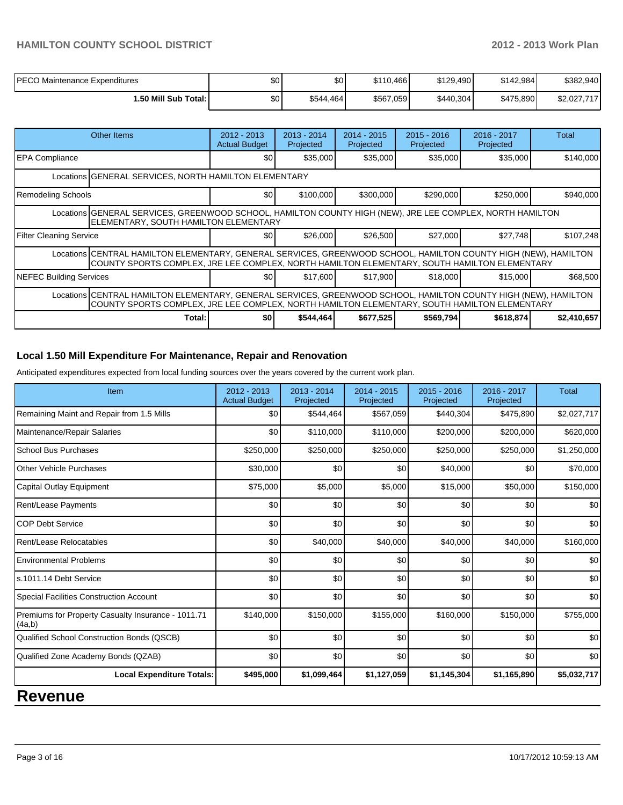## **HAMILTON COUNTY SCHOOL DISTRICT 2012 - 2013 Work Plan**

| <b>PECO Maintenance Expenditures</b> | \$0 | \$0       | \$110.466 | \$129,490 | \$142.984 | \$382,940   |
|--------------------------------------|-----|-----------|-----------|-----------|-----------|-------------|
| 1.50 Mill Sub Total: I               | \$0 | \$544.464 | \$567,059 | \$440,304 | \$475,890 | \$2.027.717 |

|                                                                                                                                                                                                                 | Other Items                                                                                                                                                                                                     | 2012 - 2013<br><b>Actual Budget</b> | $2013 - 2014$<br>Projected | $2014 - 2015$<br>Projected | $2015 - 2016$<br>Projected | 2016 - 2017<br>Projected | Total       |  |  |
|-----------------------------------------------------------------------------------------------------------------------------------------------------------------------------------------------------------------|-----------------------------------------------------------------------------------------------------------------------------------------------------------------------------------------------------------------|-------------------------------------|----------------------------|----------------------------|----------------------------|--------------------------|-------------|--|--|
| <b>EPA Compliance</b>                                                                                                                                                                                           |                                                                                                                                                                                                                 | \$0                                 | \$35,000                   | \$35,000                   | \$35,000                   | \$35,000                 | \$140,000   |  |  |
| Locations GENERAL SERVICES, NORTH HAMILTON ELEMENTARY                                                                                                                                                           |                                                                                                                                                                                                                 |                                     |                            |                            |                            |                          |             |  |  |
| Remodeling Schools                                                                                                                                                                                              |                                                                                                                                                                                                                 | \$0                                 | \$100,000                  | \$300,000                  | \$290,000                  | \$250,000                | \$940,000   |  |  |
| Locations GENERAL SERVICES, GREENWOOD SCHOOL, HAMILTON COUNTY HIGH (NEW), JRE LEE COMPLEX, NORTH HAMILTON<br>ELEMENTARY, SOUTH HAMILTON ELEMENTARY                                                              |                                                                                                                                                                                                                 |                                     |                            |                            |                            |                          |             |  |  |
| Filter Cleaning Service                                                                                                                                                                                         |                                                                                                                                                                                                                 | \$0                                 | \$26,000                   | \$26,500                   | \$27,000                   | \$27,748                 | \$107,248   |  |  |
|                                                                                                                                                                                                                 | Locations CENTRAL HAMILTON ELEMENTARY, GENERAL SERVICES, GREENWOOD SCHOOL, HAMILTON COUNTY HIGH (NEW), HAMILTON<br>COUNTY SPORTS COMPLEX, JRE LEE COMPLEX, NORTH HAMILTON ELEMENTARY, SOUTH HAMILTON ELEMENTARY |                                     |                            |                            |                            |                          |             |  |  |
| NEFEC Building Services                                                                                                                                                                                         |                                                                                                                                                                                                                 | \$0                                 | \$17,600                   | \$17.900                   | \$18,000                   | \$15,000                 | \$68,500    |  |  |
| Locations CENTRAL HAMILTON ELEMENTARY, GENERAL SERVICES, GREENWOOD SCHOOL, HAMILTON COUNTY HIGH (NEW), HAMILTON<br>COUNTY SPORTS COMPLEX, JRE LEE COMPLEX, NORTH HAMILTON ELEMENTARY, SOUTH HAMILTON ELEMENTARY |                                                                                                                                                                                                                 |                                     |                            |                            |                            |                          |             |  |  |
|                                                                                                                                                                                                                 | Total:                                                                                                                                                                                                          | \$0                                 | \$544,464                  | \$677,525                  | \$569,794                  | \$618,874                | \$2,410,657 |  |  |

# **Local 1.50 Mill Expenditure For Maintenance, Repair and Renovation**

Anticipated expenditures expected from local funding sources over the years covered by the current work plan.

| Item                                                         | 2012 - 2013<br><b>Actual Budget</b> | $2013 - 2014$<br>Projected | 2014 - 2015<br>Projected | $2015 - 2016$<br>Projected | 2016 - 2017<br>Projected | Total       |
|--------------------------------------------------------------|-------------------------------------|----------------------------|--------------------------|----------------------------|--------------------------|-------------|
| Remaining Maint and Repair from 1.5 Mills                    | \$0 <sub>1</sub>                    | \$544,464                  | \$567,059                | \$440,304                  | \$475,890                | \$2,027,717 |
| Maintenance/Repair Salaries                                  | \$0                                 | \$110,000                  | \$110,000                | \$200,000                  | \$200,000                | \$620,000   |
| <b>School Bus Purchases</b>                                  | \$250,000                           | \$250,000                  | \$250,000                | \$250,000                  | \$250,000                | \$1,250,000 |
| <b>Other Vehicle Purchases</b>                               | \$30,000                            | \$0                        | \$0                      | \$40,000                   | \$0                      | \$70,000    |
| Capital Outlay Equipment                                     | \$75,000                            | \$5,000                    | \$5,000                  | \$15,000                   | \$50,000                 | \$150,000   |
| <b>Rent/Lease Payments</b>                                   | \$0                                 | \$0                        | \$0                      | \$0                        | \$0                      | \$0         |
| <b>COP Debt Service</b>                                      | \$0                                 | \$0                        | \$0                      | \$0                        | \$0                      | \$0         |
| Rent/Lease Relocatables                                      | \$0                                 | \$40,000                   | \$40,000                 | \$40,000                   | \$40,000                 | \$160,000   |
| <b>Environmental Problems</b>                                | \$0                                 | \$0                        | \$0                      | \$0                        | \$0                      | \$0         |
| s.1011.14 Debt Service                                       | \$0                                 | \$0                        | \$0                      | \$0                        | \$0                      | \$0         |
| <b>Special Facilities Construction Account</b>               | \$0                                 | \$0                        | \$0                      | \$0                        | \$0                      | \$0         |
| Premiums for Property Casualty Insurance - 1011.71<br>(4a,b) | \$140,000                           | \$150,000                  | \$155,000                | \$160,000                  | \$150,000                | \$755,000   |
| Qualified School Construction Bonds (QSCB)                   | \$0                                 | \$0                        | \$0                      | \$0                        | \$0                      | \$0         |
| Qualified Zone Academy Bonds (QZAB)                          | \$0                                 | \$0                        | \$0                      | \$0                        | \$0                      | \$0         |
| <b>Local Expenditure Totals:</b>                             | \$495,000                           | \$1,099,464                | \$1,127,059              | \$1,145,304                | \$1,165,890              | \$5,032,717 |

# **Revenue**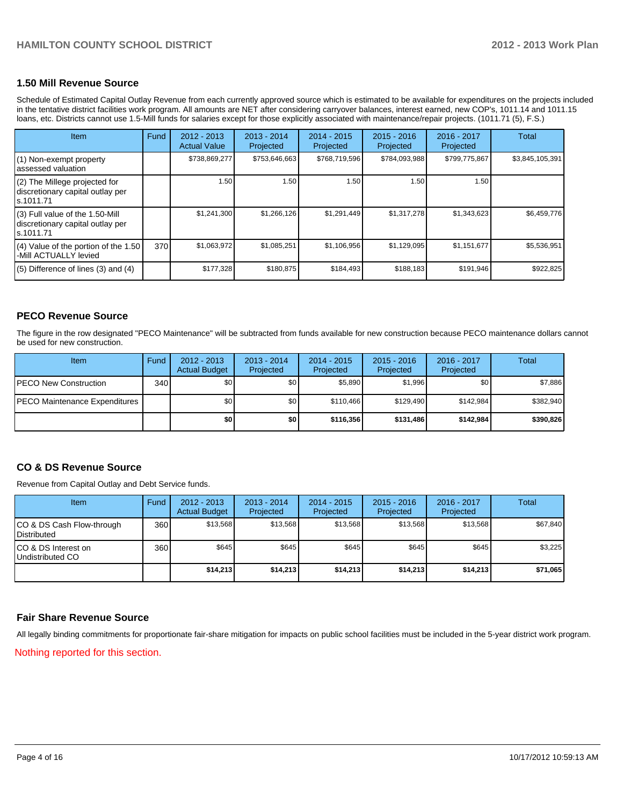#### **1.50 Mill Revenue Source**

Schedule of Estimated Capital Outlay Revenue from each currently approved source which is estimated to be available for expenditures on the projects included in the tentative district facilities work program. All amounts are NET after considering carryover balances, interest earned, new COP's, 1011.14 and 1011.15 loans, etc. Districts cannot use 1.5-Mill funds for salaries except for those explicitly associated with maintenance/repair projects. (1011.71 (5), F.S.)

| <b>Item</b>                                                                      | Fund | $2012 - 2013$<br><b>Actual Value</b> | $2013 - 2014$<br>Projected | $2014 - 2015$<br>Projected | $2015 - 2016$<br>Projected | $2016 - 2017$<br>Projected | Total           |
|----------------------------------------------------------------------------------|------|--------------------------------------|----------------------------|----------------------------|----------------------------|----------------------------|-----------------|
| (1) Non-exempt property<br>assessed valuation                                    |      | \$738,869,277                        | \$753,646,663              | \$768,719,596              | \$784,093,988              | \$799,775,867              | \$3,845,105,391 |
| (2) The Millege projected for<br>discretionary capital outlay per<br>s.1011.71   |      | 1.50                                 | 1.50                       | 1.50                       | 1.50                       | 1.50                       |                 |
| (3) Full value of the 1.50-Mill<br>discretionary capital outlay per<br>s.1011.71 |      | \$1,241,300                          | \$1,266,126                | \$1,291,449                | \$1,317,278                | \$1,343,623                | \$6,459,776     |
| (4) Value of the portion of the 1.50<br>-Mill ACTUALLY levied                    | 370  | \$1,063,972                          | \$1,085,251                | \$1,106,956                | \$1,129,095                | \$1,151,677                | \$5,536,951     |
| $(5)$ Difference of lines $(3)$ and $(4)$                                        |      | \$177,328                            | \$180,875                  | \$184,493                  | \$188,183                  | \$191,946                  | \$922,825       |

#### **PECO Revenue Source**

The figure in the row designated "PECO Maintenance" will be subtracted from funds available for new construction because PECO maintenance dollars cannot be used for new construction.

| Item                                  | Fund | $2012 - 2013$<br><b>Actual Budget</b> | $2013 - 2014$<br>Projected | 2014 - 2015<br>Projected | $2015 - 2016$<br>Projected | 2016 - 2017<br>Projected | Total     |
|---------------------------------------|------|---------------------------------------|----------------------------|--------------------------|----------------------------|--------------------------|-----------|
| <b>IPECO New Construction</b>         | 340  | \$0                                   | \$0 <sub>1</sub>           | \$5,890                  | \$1.996                    | \$0                      | \$7,886   |
| <b>IPECO Maintenance Expenditures</b> |      | \$0                                   | \$0                        | \$110.466                | \$129.490                  | \$142.984                | \$382,940 |
|                                       |      | \$0 I                                 | \$0                        | \$116.356                | \$131,486                  | \$142,984                | \$390,826 |

#### **CO & DS Revenue Source**

Revenue from Capital Outlay and Debt Service funds.

| <b>Item</b>                                        | Fund | $2012 - 2013$<br><b>Actual Budget</b> | $2013 - 2014$<br>Projected | $2014 - 2015$<br>Projected | $2015 - 2016$<br>Projected | $2016 - 2017$<br>Projected | Total    |
|----------------------------------------------------|------|---------------------------------------|----------------------------|----------------------------|----------------------------|----------------------------|----------|
| ICO & DS Cash Flow-through<br><b>I</b> Distributed | 360  | \$13.568                              | \$13.568                   | \$13.568                   | \$13.568                   | \$13.568                   | \$67,840 |
| ICO & DS Interest on<br>Undistributed CO           | 360  | \$645                                 | \$645                      | \$645                      | \$645                      | \$645                      | \$3,225  |
|                                                    |      | \$14,213                              | \$14.213                   | \$14,213                   | \$14.213                   | \$14,213                   | \$71,065 |

#### **Fair Share Revenue Source**

Nothing reported for this section. All legally binding commitments for proportionate fair-share mitigation for impacts on public school facilities must be included in the 5-year district work program.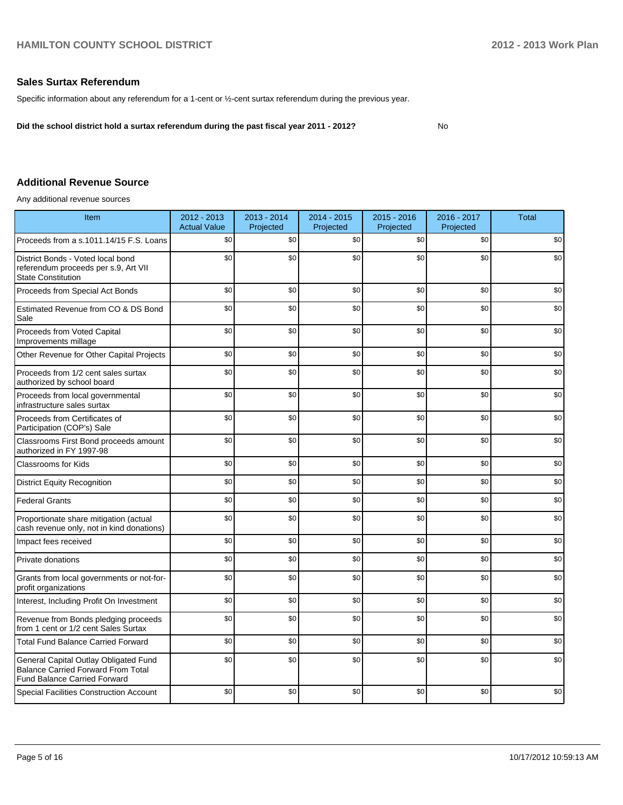#### **Sales Surtax Referendum**

Specific information about any referendum for a 1-cent or ½-cent surtax referendum during the previous year.

**Did the school district hold a surtax referendum during the past fiscal year 2011 - 2012?**

No

### **Additional Revenue Source**

Any additional revenue sources

| Item                                                                                                                      | 2012 - 2013<br><b>Actual Value</b> | 2013 - 2014<br>Projected | 2014 - 2015<br>Projected | $2015 - 2016$<br>Projected | 2016 - 2017<br>Projected | <b>Total</b> |
|---------------------------------------------------------------------------------------------------------------------------|------------------------------------|--------------------------|--------------------------|----------------------------|--------------------------|--------------|
| Proceeds from a s.1011.14/15 F.S. Loans                                                                                   | \$0                                | \$0                      | \$0                      | \$0                        | \$0                      | \$0          |
| District Bonds - Voted local bond<br>referendum proceeds per s.9, Art VII<br><b>State Constitution</b>                    | \$0                                | \$0                      | \$0                      | \$0                        | \$0                      | \$0          |
| Proceeds from Special Act Bonds                                                                                           | \$0                                | \$0                      | \$0                      | \$0                        | \$0                      | \$0          |
| Estimated Revenue from CO & DS Bond<br>Sale                                                                               | \$0                                | \$0                      | \$0                      | \$0                        | \$0                      | \$0          |
| Proceeds from Voted Capital<br>Improvements millage                                                                       | \$0                                | \$0                      | \$0                      | \$0                        | \$0                      | \$0          |
| Other Revenue for Other Capital Projects                                                                                  | \$0                                | \$0                      | \$0                      | \$0                        | \$0                      | \$0          |
| Proceeds from 1/2 cent sales surtax<br>authorized by school board                                                         | \$0                                | \$0                      | \$0                      | \$0                        | \$0                      | \$0          |
| Proceeds from local governmental<br>infrastructure sales surtax                                                           | \$0                                | \$0                      | \$0                      | \$0                        | \$0                      | \$0          |
| Proceeds from Certificates of<br>Participation (COP's) Sale                                                               | \$0                                | \$0                      | \$0                      | \$0                        | \$0                      | \$0          |
| Classrooms First Bond proceeds amount<br>authorized in FY 1997-98                                                         | \$0                                | \$0                      | \$0                      | \$0                        | \$0                      | \$0          |
| <b>Classrooms for Kids</b>                                                                                                | \$0                                | \$0                      | \$0                      | \$0                        | \$0                      | \$0          |
| <b>District Equity Recognition</b>                                                                                        | \$0                                | \$0                      | \$0                      | \$0                        | \$0                      | \$0          |
| <b>Federal Grants</b>                                                                                                     | \$0                                | \$0                      | \$0                      | \$0                        | \$0                      | \$0          |
| Proportionate share mitigation (actual<br>cash revenue only, not in kind donations)                                       | \$0                                | \$0                      | \$0                      | \$0                        | \$0                      | \$0          |
| Impact fees received                                                                                                      | \$0                                | \$0                      | \$0                      | \$0                        | \$0                      | \$0          |
| Private donations                                                                                                         | \$0                                | \$0                      | \$0                      | \$0                        | \$0                      | \$0          |
| Grants from local governments or not-for-<br>profit organizations                                                         | \$0                                | \$0                      | \$0                      | \$0                        | \$0                      | \$0          |
| Interest, Including Profit On Investment                                                                                  | \$0                                | \$0                      | \$0                      | \$0                        | \$0                      | \$0          |
| Revenue from Bonds pledging proceeds<br>from 1 cent or 1/2 cent Sales Surtax                                              | \$0                                | \$0                      | \$0                      | \$0                        | \$0                      | \$0          |
| <b>Total Fund Balance Carried Forward</b>                                                                                 | \$0                                | \$0                      | \$0                      | \$0                        | \$0                      | \$0          |
| General Capital Outlay Obligated Fund<br><b>Balance Carried Forward From Total</b><br><b>Fund Balance Carried Forward</b> | \$0                                | \$0                      | \$0                      | \$0                        | \$0                      | \$0          |
| <b>Special Facilities Construction Account</b>                                                                            | \$0                                | \$0                      | \$0                      | \$0                        | \$0                      | \$0          |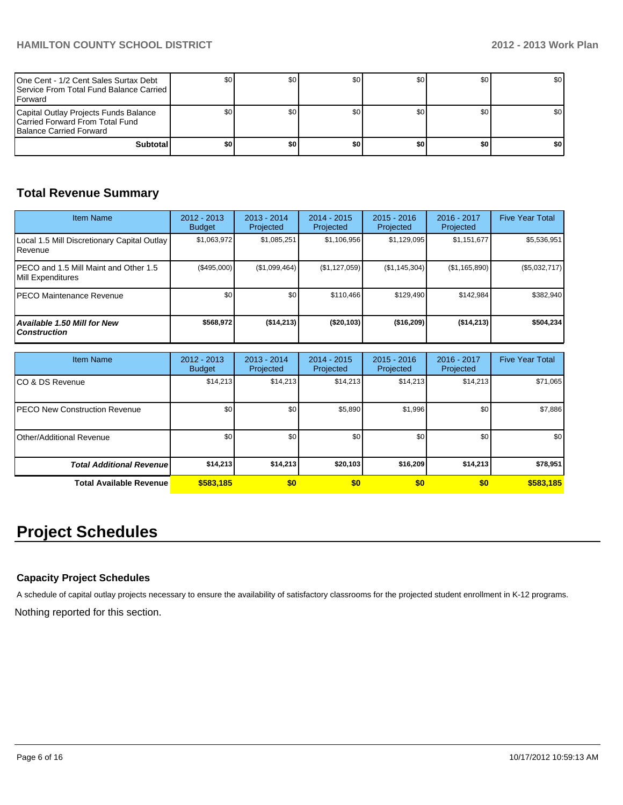| One Cent - 1/2 Cent Sales Surtax Debt<br><b>I</b> Service From Total Fund Balance Carried I<br><b>IForward</b> |     | \$0 | \$0 | SO I | \$0  | <b>SO</b> I      |
|----------------------------------------------------------------------------------------------------------------|-----|-----|-----|------|------|------------------|
| Capital Outlay Projects Funds Balance<br>Carried Forward From Total Fund<br><b>Balance Carried Forward</b>     |     |     | \$0 | SO I | \$0  | \$0 <sub>1</sub> |
| <b>Subtotal</b>                                                                                                | \$0 | \$0 | \$0 | \$0  | ا 30 | \$0              |

# **Total Revenue Summary**

| <b>Item Name</b>                                           | $2012 - 2013$<br><b>Budget</b> | $2013 - 2014$<br>Projected | $2014 - 2015$<br>Projected | $2015 - 2016$<br>Projected | $2016 - 2017$<br>Projected | <b>Five Year Total</b> |
|------------------------------------------------------------|--------------------------------|----------------------------|----------------------------|----------------------------|----------------------------|------------------------|
| Local 1.5 Mill Discretionary Capital Outlay<br>l Revenue   | \$1,063,972                    | \$1,085,251                | \$1,106,956                | \$1,129,095                | \$1,151,677                | \$5,536,951            |
| PECO and 1.5 Mill Maint and Other 1.5<br>Mill Expenditures | (S495.000)                     | (\$1,099,464)              | (\$1,127,059)              | (S1, 145, 304)             | (\$1,165,890)              | (\$5,032,717)          |
| IPECO Maintenance Revenue                                  | \$0                            | \$0                        | \$110.466                  | \$129.490                  | \$142.984                  | \$382,940              |
| <b>Available 1.50 Mill for New</b><br><b>Construction</b>  | \$568,972                      | ( \$14, 213)               | ( \$20, 103)               | ( \$16, 209)               | ( \$14, 213)               | \$504,234              |

| <b>Item Name</b>                      | 2012 - 2013<br><b>Budget</b> | $2013 - 2014$<br>Projected | $2014 - 2015$<br>Projected | $2015 - 2016$<br>Projected | 2016 - 2017<br>Projected | <b>Five Year Total</b> |
|---------------------------------------|------------------------------|----------------------------|----------------------------|----------------------------|--------------------------|------------------------|
| ICO & DS Revenue                      | \$14,213                     | \$14,213                   | \$14,213                   | \$14,213                   | \$14,213                 | \$71,065               |
| <b>IPECO New Construction Revenue</b> | \$0                          | \$0                        | \$5,890                    | \$1,996                    | \$0                      | \$7,886                |
| Other/Additional Revenue              | \$0                          | \$0                        | \$0                        | \$0                        | \$0 <sub>1</sub>         | \$0                    |
| <b>Total Additional Revenuel</b>      | \$14,213                     | \$14,213                   | \$20,103                   | \$16,209                   | \$14,213                 | \$78,951               |
| <b>Total Available Revenue</b>        | \$583,185                    | \$0                        | \$0                        | \$0                        | \$0                      | \$583,185              |

# **Project Schedules**

## **Capacity Project Schedules**

A schedule of capital outlay projects necessary to ensure the availability of satisfactory classrooms for the projected student enrollment in K-12 programs.

Nothing reported for this section.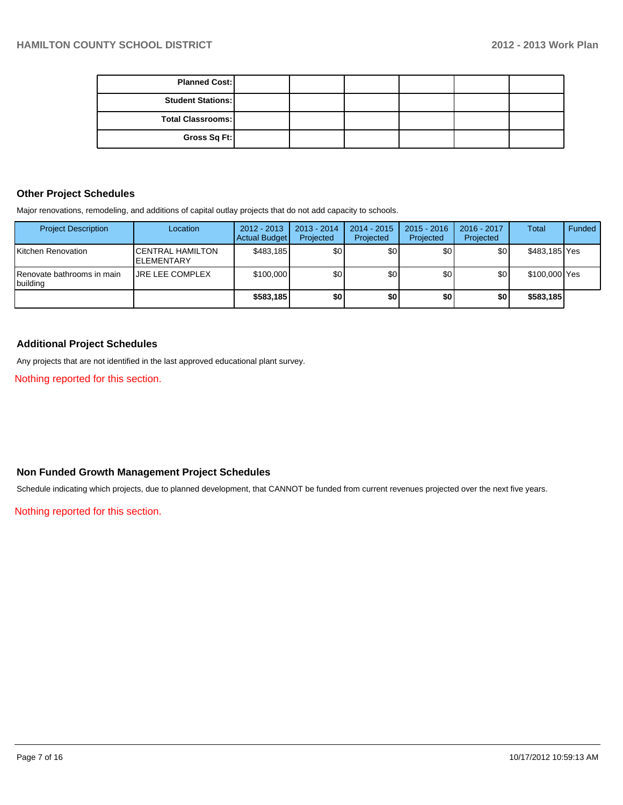| <b>Planned Cost:</b>     |  |  |  |
|--------------------------|--|--|--|
| <b>Student Stations:</b> |  |  |  |
| Total Classrooms:        |  |  |  |
| Gross Sq Ft:             |  |  |  |

#### **Other Project Schedules**

Major renovations, remodeling, and additions of capital outlay projects that do not add capacity to schools.

| <b>Project Description</b>             | Location                                       | $2012 - 2013$<br><b>Actual Budget</b> | $2013 - 2014$<br>Projected | $2014 - 2015$<br>Projected | $2015 - 2016$<br>Projected | 2016 - 2017<br>Projected | <b>Total</b>  | Funded |
|----------------------------------------|------------------------------------------------|---------------------------------------|----------------------------|----------------------------|----------------------------|--------------------------|---------------|--------|
| Kitchen Renovation                     | <b>ICENTRAL HAMILTON</b><br><b>IELEMENTARY</b> | \$483.185                             | \$0                        | \$0                        | \$0                        | \$OI                     | \$483,185 Yes |        |
| Renovate bathrooms in main<br>building | <b>URE LEE COMPLEX</b>                         | \$100,000                             | \$0                        | \$0                        | \$0                        | \$0                      | \$100,000 Yes |        |
|                                        |                                                | \$583,185                             | \$0                        | \$0                        | \$0                        | \$0                      | \$583,185     |        |

#### **Additional Project Schedules**

Any projects that are not identified in the last approved educational plant survey.

Nothing reported for this section.

## **Non Funded Growth Management Project Schedules**

Schedule indicating which projects, due to planned development, that CANNOT be funded from current revenues projected over the next five years.

Nothing reported for this section.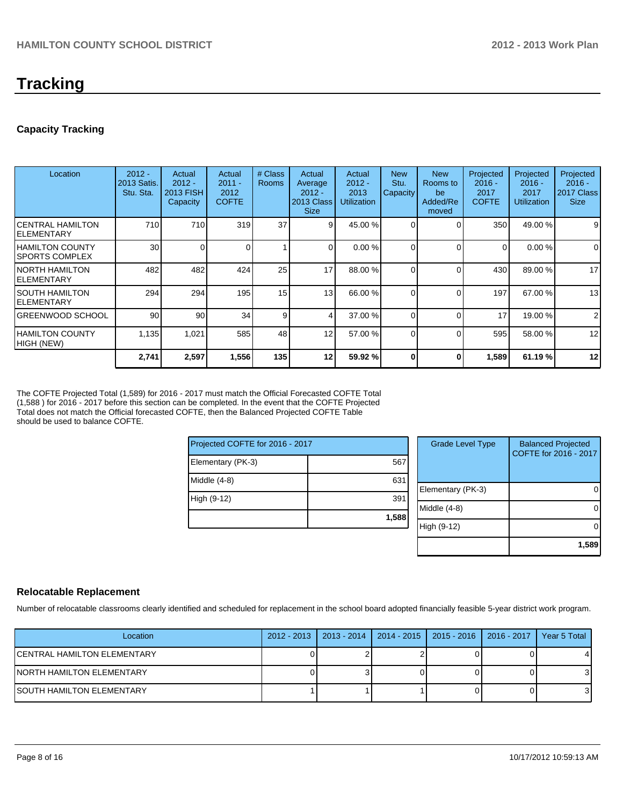# **Tracking**

## **Capacity Tracking**

| Location                                   | $2012 -$<br>2013 Satis.<br>Stu. Sta. | Actual<br>$2012 -$<br>2013 FISH<br>Capacity | Actual<br>$2011 -$<br>2012<br><b>COFTE</b> | # Class<br><b>Rooms</b> | Actual<br>Average<br>$2012 -$<br>2013 Class<br><b>Size</b> | Actual<br>$2012 -$<br>2013<br><b>Utilization</b> | <b>New</b><br>Stu.<br>Capacity | <b>New</b><br>Rooms to<br>be<br>Added/Re<br>moved | Projected<br>$2016 -$<br>2017<br><b>COFTE</b> | Projected<br>$2016 -$<br>2017<br><b>Utilization</b> | Projected<br>$2016 -$<br>2017 Class<br><b>Size</b> |
|--------------------------------------------|--------------------------------------|---------------------------------------------|--------------------------------------------|-------------------------|------------------------------------------------------------|--------------------------------------------------|--------------------------------|---------------------------------------------------|-----------------------------------------------|-----------------------------------------------------|----------------------------------------------------|
| ICENTRAL HAMILTON<br>IELEMENTARY           | 710                                  | 710                                         | 319                                        | 37                      | $\overline{9}$                                             | 45.00 %                                          |                                |                                                   | 350                                           | 49.00 %                                             | 9                                                  |
| <b>IHAMILTON COUNTY</b><br>ISPORTS COMPLEX | 30                                   | 0                                           |                                            |                         | $\Omega$                                                   | 0.00%                                            |                                | $\Omega$                                          | $\Omega$                                      | 0.00%                                               | $\mathbf 0$                                        |
| INORTH HAMILTON<br>IELEMENTARY             | 482                                  | 482                                         | 424                                        | 25                      | 17                                                         | 88.00 %                                          |                                | C                                                 | 430                                           | 89.00 %                                             | 17                                                 |
| ISOUTH HAMILTON<br>IELEMENTARY             | 294                                  | 294                                         | 195                                        | 15                      | 13                                                         | 66.00 %                                          |                                | $\Omega$                                          | 197                                           | 67.00 %                                             | 13                                                 |
| IGREENWOOD SCHOOL                          | 90                                   | 90                                          | 34                                         | 9                       | 4                                                          | 37.00 %                                          |                                | $\Omega$                                          | 17                                            | 19.00 %                                             | $\overline{2}$                                     |
| IHAMILTON COUNTY<br>HIGH (NEW)             | 1,135                                | 1,021                                       | 585                                        | 48                      | 12                                                         | 57.00 %                                          | $\Omega$                       | $\Omega$                                          | 595                                           | 58.00 %                                             | 12                                                 |
|                                            | 2,741                                | 2,597                                       | 1,556                                      | 135                     | 12                                                         | 59.92 %                                          |                                | ŋ                                                 | 1,589                                         | 61.19 %                                             | 12                                                 |

The COFTE Projected Total (1,589) for 2016 - 2017 must match the Official Forecasted COFTE Total (1,588 ) for 2016 - 2017 before this section can be completed. In the event that the COFTE Projected Total does not match the Official forecasted COFTE, then the Balanced Projected COFTE Table should be used to balance COFTE.

| Projected COFTE for 2016 - 2017 |       |  |  |  |  |  |
|---------------------------------|-------|--|--|--|--|--|
| Elementary (PK-3)               | 567   |  |  |  |  |  |
| Middle (4-8)                    | 631   |  |  |  |  |  |
| High (9-12)                     | 391   |  |  |  |  |  |
|                                 | 1,588 |  |  |  |  |  |

| <b>Grade Level Type</b> | <b>Balanced Projected</b><br>COFTE for 2016 - 2017 |
|-------------------------|----------------------------------------------------|
| Elementary (PK-3)       |                                                    |
| Middle (4-8)            |                                                    |
| High (9-12)             |                                                    |
|                         | 1,589                                              |

## **Relocatable Replacement**

Number of relocatable classrooms clearly identified and scheduled for replacement in the school board adopted financially feasible 5-year district work program.

| Location                     | 2012 - 2013   2013 - 2014 | 2014 - 2015   2015 - 2016   2016 - 2017 | Year 5 Total |
|------------------------------|---------------------------|-----------------------------------------|--------------|
| ICENTRAL HAMILTON ELEMENTARY |                           |                                         |              |
| INORTH HAMILTON ELEMENTARY   |                           |                                         | 31           |
| ISOUTH HAMILTON ELEMENTARY   |                           |                                         | 31           |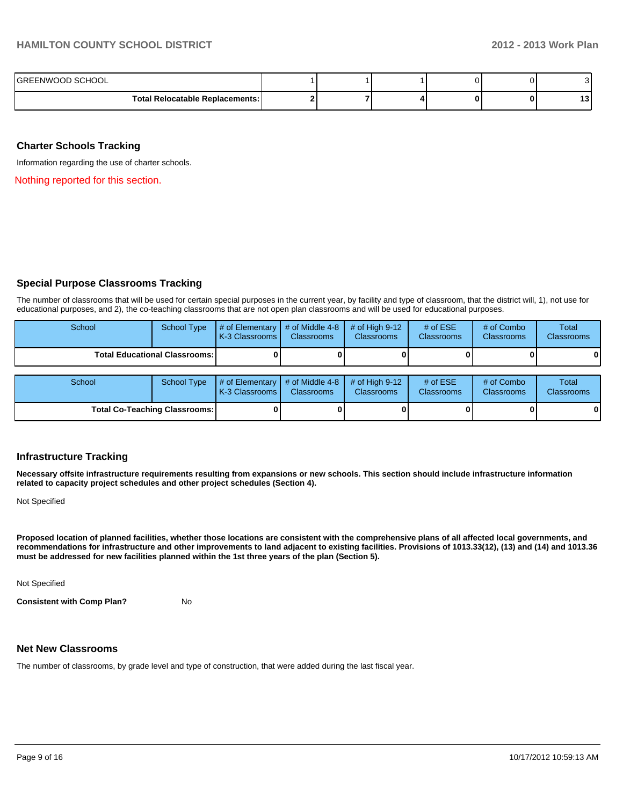| IGREENWOOD SCHOOL                 |  |  |         |
|-----------------------------------|--|--|---------|
| Total Relocatable Replacements: I |  |  | ໍ່<br>w |

#### **Charter Schools Tracking**

Information regarding the use of charter schools.

Nothing reported for this section.

#### **Special Purpose Classrooms Tracking**

The number of classrooms that will be used for certain special purposes in the current year, by facility and type of classroom, that the district will, 1), not use for educational purposes, and 2), the co-teaching classrooms that are not open plan classrooms and will be used for educational purposes.

| School | <b>School Type</b>                     | # of Elementary<br>K-3 Classrooms | # of Middle 4-8<br><b>Classrooms</b> | # of High $9-12$<br><b>Classrooms</b> | # of $ESE$<br><b>Classrooms</b> | # of Combo<br><b>Classrooms</b> | Total<br><b>Classrooms</b> |
|--------|----------------------------------------|-----------------------------------|--------------------------------------|---------------------------------------|---------------------------------|---------------------------------|----------------------------|
|        | <b>Total Educational Classrooms: I</b> |                                   |                                      |                                       |                                 |                                 | 0                          |
|        |                                        |                                   |                                      |                                       |                                 |                                 |                            |
| School | <b>School Type</b>                     | # of Elementary<br>K-3 Classrooms | # of Middle 4-8<br><b>Classrooms</b> | # of High $9-12$<br><b>Classrooms</b> | # of $ESE$<br><b>Classrooms</b> | # of Combo<br><b>Classrooms</b> | Total<br><b>Classrooms</b> |
|        | <b>Total Co-Teaching Classrooms:</b>   |                                   |                                      |                                       |                                 |                                 | 0                          |

#### **Infrastructure Tracking**

**Necessary offsite infrastructure requirements resulting from expansions or new schools. This section should include infrastructure information related to capacity project schedules and other project schedules (Section 4).**

Not Specified

**Proposed location of planned facilities, whether those locations are consistent with the comprehensive plans of all affected local governments, and recommendations for infrastructure and other improvements to land adjacent to existing facilities. Provisions of 1013.33(12), (13) and (14) and 1013.36 must be addressed for new facilities planned within the 1st three years of the plan (Section 5).**

Not Specified

**Consistent with Comp Plan?** No

#### **Net New Classrooms**

The number of classrooms, by grade level and type of construction, that were added during the last fiscal year.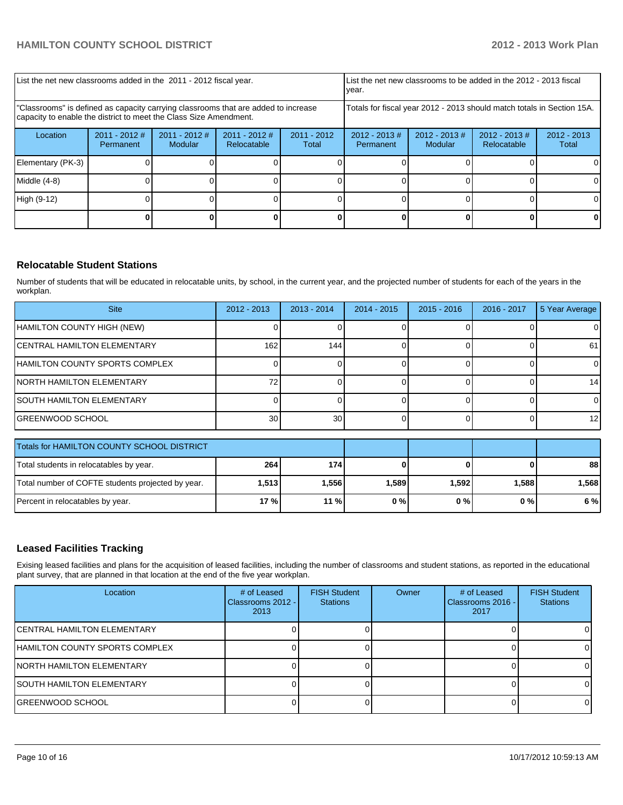| List the net new classrooms added in the 2011 - 2012 fiscal year.                                                                                       |                              |                            |                              |                        | List the net new classrooms to be added in the 2012 - 2013 fiscal<br>vear. |                             |                                 |                        |
|---------------------------------------------------------------------------------------------------------------------------------------------------------|------------------------------|----------------------------|------------------------------|------------------------|----------------------------------------------------------------------------|-----------------------------|---------------------------------|------------------------|
| "Classrooms" is defined as capacity carrying classrooms that are added to increase<br>capacity to enable the district to meet the Class Size Amendment. |                              |                            |                              |                        | Totals for fiscal year 2012 - 2013 should match totals in Section 15A.     |                             |                                 |                        |
| Location                                                                                                                                                | $2011 - 2012$ #<br>Permanent | $2011 - 2012$ #<br>Modular | 2011 - 2012 #<br>Relocatable | $2011 - 2012$<br>Total | $2012 - 2013$ #<br>Permanent                                               | $2012 - 2013 \#$<br>Modular | $2012 - 2013 \#$<br>Relocatable | $2012 - 2013$<br>Total |
| Elementary (PK-3)                                                                                                                                       |                              |                            |                              |                        |                                                                            |                             |                                 |                        |
| Middle $(4-8)$                                                                                                                                          |                              |                            |                              |                        |                                                                            |                             |                                 |                        |
| High (9-12)                                                                                                                                             |                              |                            |                              |                        |                                                                            |                             |                                 |                        |
|                                                                                                                                                         |                              |                            |                              |                        |                                                                            |                             |                                 |                        |

## **Relocatable Student Stations**

Number of students that will be educated in relocatable units, by school, in the current year, and the projected number of students for each of the years in the workplan.

| <b>Site</b>                                | $2012 - 2013$ | $2013 - 2014$   | $2014 - 2015$ | $2015 - 2016$ | 2016 - 2017 | 5 Year Average  |
|--------------------------------------------|---------------|-----------------|---------------|---------------|-------------|-----------------|
| HAMILTON COUNTY HIGH (NEW)                 |               |                 |               |               |             |                 |
| <b>CENTRAL HAMILTON ELEMENTARY</b>         | 162           | 144             |               |               |             | 61              |
| HAMILTON COUNTY SPORTS COMPLEX             |               |                 |               |               |             |                 |
| <b>INORTH HAMILTON ELEMENTARY</b>          |               |                 |               |               |             | 14 <sup>1</sup> |
| <b>SOUTH HAMILTON ELEMENTARY</b>           |               |                 |               |               |             |                 |
| IGREENWOOD SCHOOL                          | 30            | 30 <sub>l</sub> |               |               |             | 12 <sub>l</sub> |
| Totals for UAMILTON COUNTY COUOOL DICTRICT |               |                 |               |               |             |                 |

| Totals for HAMILTON COUNTY SCHOOL DISTRICT        |        |         |       |       |       |        |
|---------------------------------------------------|--------|---------|-------|-------|-------|--------|
| Total students in relocatables by year.           | 264    | 174     |       |       |       | 88     |
| Total number of COFTE students projected by year. | 1.5131 | I.556 l | 1.589 | 1,592 | 1.588 | 1.5681 |
| Percent in relocatables by year.                  | 17 % l | $11\%$  | 0%    | 0 % I | 0%    | 6 % l  |

## **Leased Facilities Tracking**

Exising leased facilities and plans for the acquisition of leased facilities, including the number of classrooms and student stations, as reported in the educational plant survey, that are planned in that location at the end of the five year workplan.

| Location                               | # of Leased<br>Classrooms 2012 - I<br>2013 | <b>FISH Student</b><br><b>Stations</b> | Owner | # of Leased<br>Classrooms 2016 - I<br>2017 | <b>FISH Student</b><br><b>Stations</b> |
|----------------------------------------|--------------------------------------------|----------------------------------------|-------|--------------------------------------------|----------------------------------------|
| ICENTRAL HAMILTON ELEMENTARY           |                                            |                                        |       |                                            |                                        |
| <b>IHAMILTON COUNTY SPORTS COMPLEX</b> |                                            |                                        |       |                                            |                                        |
| <b>INORTH HAMILTON ELEMENTARY</b>      |                                            |                                        |       |                                            |                                        |
| <b>ISOUTH HAMILTON ELEMENTARY</b>      |                                            |                                        |       |                                            |                                        |
| IGREENWOOD SCHOOL                      |                                            |                                        |       |                                            |                                        |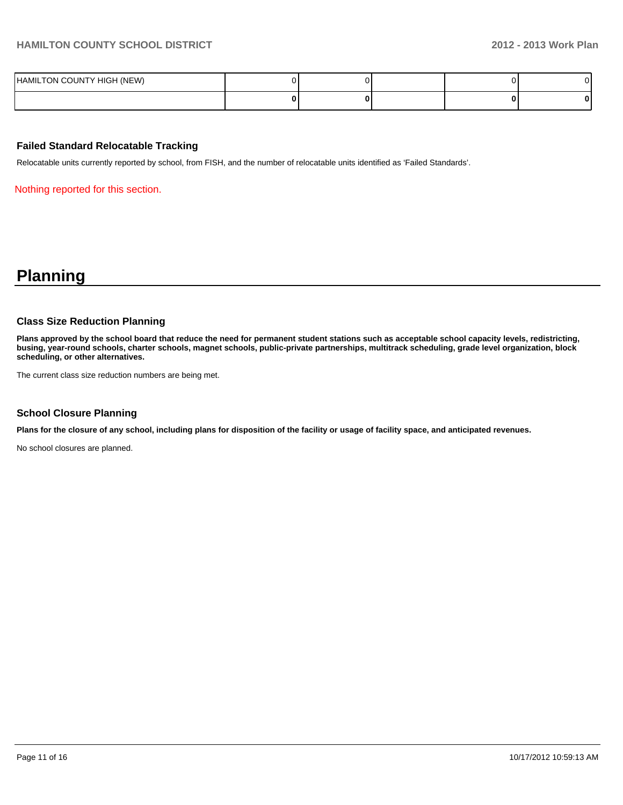| HAMILTON COUNTY HIGH (NEW) |  |  |  |
|----------------------------|--|--|--|
|                            |  |  |  |

#### **Failed Standard Relocatable Tracking**

Relocatable units currently reported by school, from FISH, and the number of relocatable units identified as 'Failed Standards'.

Nothing reported for this section.

# **Planning**

#### **Class Size Reduction Planning**

**Plans approved by the school board that reduce the need for permanent student stations such as acceptable school capacity levels, redistricting, busing, year-round schools, charter schools, magnet schools, public-private partnerships, multitrack scheduling, grade level organization, block scheduling, or other alternatives.**

The current class size reduction numbers are being met.

#### **School Closure Planning**

**Plans for the closure of any school, including plans for disposition of the facility or usage of facility space, and anticipated revenues.**

No school closures are planned.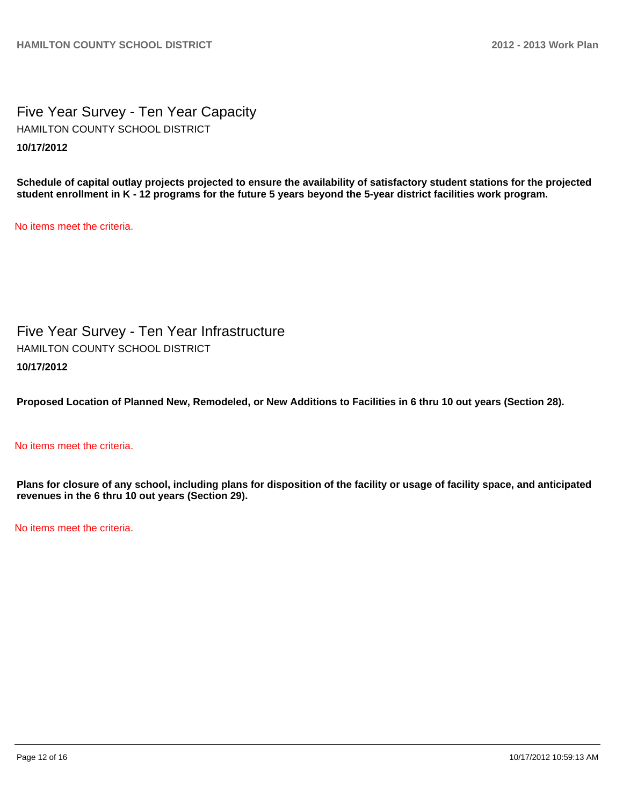Five Year Survey - Ten Year Capacity **10/17/2012** HAMILTON COUNTY SCHOOL DISTRICT

**Schedule of capital outlay projects projected to ensure the availability of satisfactory student stations for the projected student enrollment in K - 12 programs for the future 5 years beyond the 5-year district facilities work program.**

No items meet the criteria.

Five Year Survey - Ten Year Infrastructure **10/17/2012** HAMILTON COUNTY SCHOOL DISTRICT

**Proposed Location of Planned New, Remodeled, or New Additions to Facilities in 6 thru 10 out years (Section 28).**

#### No items meet the criteria.

**Plans for closure of any school, including plans for disposition of the facility or usage of facility space, and anticipated revenues in the 6 thru 10 out years (Section 29).**

No items meet the criteria.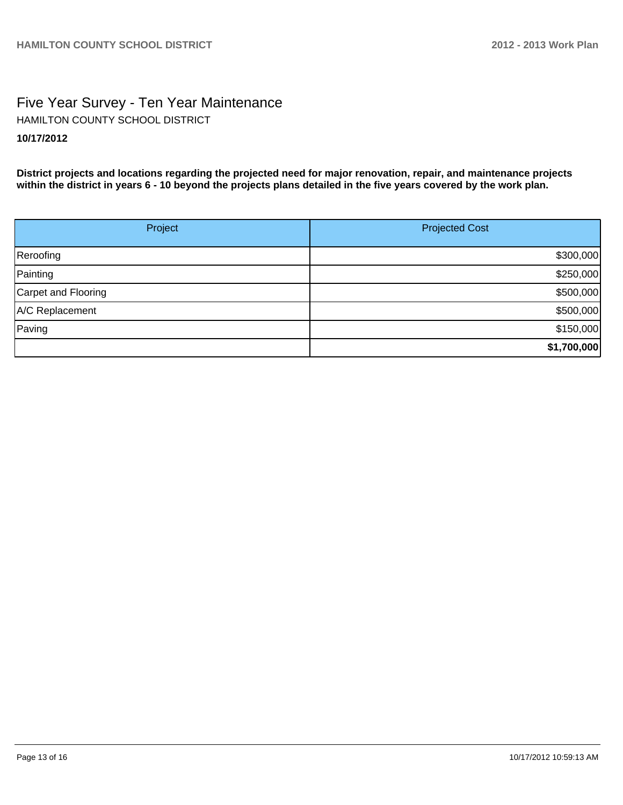# Five Year Survey - Ten Year Maintenance **10/17/2012** HAMILTON COUNTY SCHOOL DISTRICT

**District projects and locations regarding the projected need for major renovation, repair, and maintenance projects within the district in years 6 - 10 beyond the projects plans detailed in the five years covered by the work plan.**

| Project             | <b>Projected Cost</b> |
|---------------------|-----------------------|
| Reroofing           | \$300,000             |
| Painting            | \$250,000             |
| Carpet and Flooring | \$500,000             |
| A/C Replacement     | \$500,000             |
| Paving              | \$150,000             |
|                     | \$1,700,000           |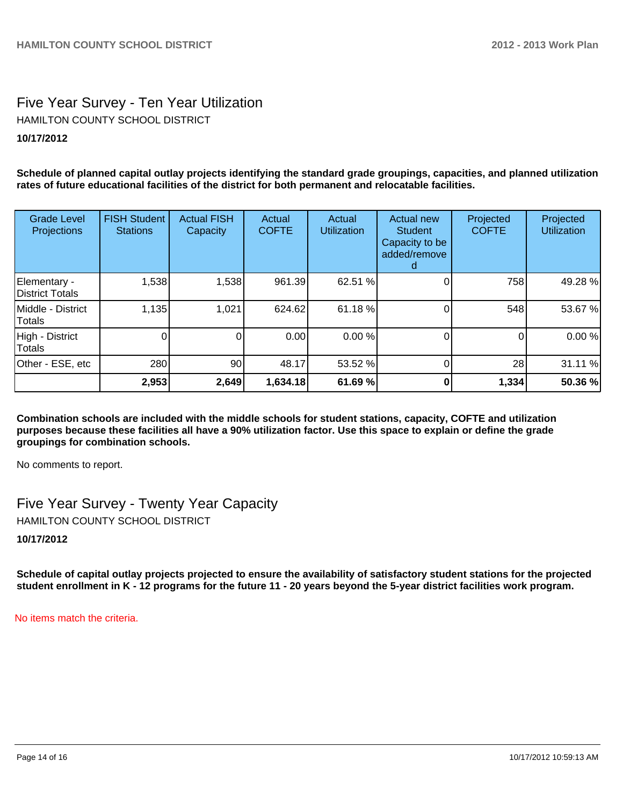# Five Year Survey - Ten Year Utilization HAMILTON COUNTY SCHOOL DISTRICT

## **10/17/2012**

**Schedule of planned capital outlay projects identifying the standard grade groupings, capacities, and planned utilization rates of future educational facilities of the district for both permanent and relocatable facilities.**

| <b>Grade Level</b><br>Projections | <b>FISH Student</b><br><b>Stations</b> | <b>Actual FISH</b><br>Capacity | Actual<br><b>COFTE</b> | Actual<br><b>Utilization</b> | Actual new<br><b>Student</b><br>Capacity to be<br>added/remove | Projected<br><b>COFTE</b> | Projected<br><b>Utilization</b> |
|-----------------------------------|----------------------------------------|--------------------------------|------------------------|------------------------------|----------------------------------------------------------------|---------------------------|---------------------------------|
| Elementary -<br>District Totals   | 1,538                                  | 1,538                          | 961.39                 | 62.51 %                      |                                                                | 758                       | 49.28 %                         |
| Middle - District<br>Totals       | 1,135                                  | 1,021                          | 624.62                 | 61.18 %                      |                                                                | 548                       | 53.67 %                         |
| High - District<br><b>Totals</b>  |                                        | 0                              | 0.00                   | 0.00 %                       |                                                                | 0                         | 0.00%                           |
| Other - ESE, etc                  | 280                                    | 90                             | 48.17                  | 53.52 %                      |                                                                | 28                        | 31.11 %                         |
|                                   | 2,953                                  | 2,649                          | 1,634.18               | 61.69 %                      |                                                                | 1,334                     | 50.36 %                         |

**Combination schools are included with the middle schools for student stations, capacity, COFTE and utilization purposes because these facilities all have a 90% utilization factor. Use this space to explain or define the grade groupings for combination schools.**

No comments to report.

Five Year Survey - Twenty Year Capacity

HAMILTON COUNTY SCHOOL DISTRICT

**10/17/2012**

**Schedule of capital outlay projects projected to ensure the availability of satisfactory student stations for the projected student enrollment in K - 12 programs for the future 11 - 20 years beyond the 5-year district facilities work program.**

No items match the criteria.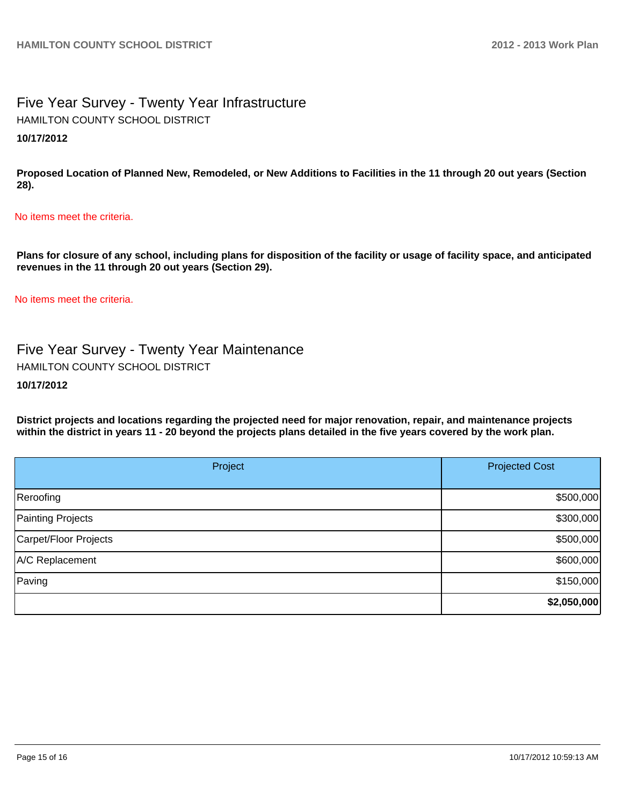# Five Year Survey - Twenty Year Infrastructure **10/17/2012** HAMILTON COUNTY SCHOOL DISTRICT

**Proposed Location of Planned New, Remodeled, or New Additions to Facilities in the 11 through 20 out years (Section 28).**

#### No items meet the criteria.

**Plans for closure of any school, including plans for disposition of the facility or usage of facility space, and anticipated revenues in the 11 through 20 out years (Section 29).**

No items meet the criteria.

Five Year Survey - Twenty Year Maintenance HAMILTON COUNTY SCHOOL DISTRICT

#### **10/17/2012**

**District projects and locations regarding the projected need for major renovation, repair, and maintenance projects within the district in years 11 - 20 beyond the projects plans detailed in the five years covered by the work plan.**

| Project               | <b>Projected Cost</b> |
|-----------------------|-----------------------|
| Reroofing             | \$500,000             |
| Painting Projects     | \$300,000             |
| Carpet/Floor Projects | \$500,000             |
| A/C Replacement       | \$600,000             |
| Paving                | \$150,000             |
|                       | \$2,050,000           |